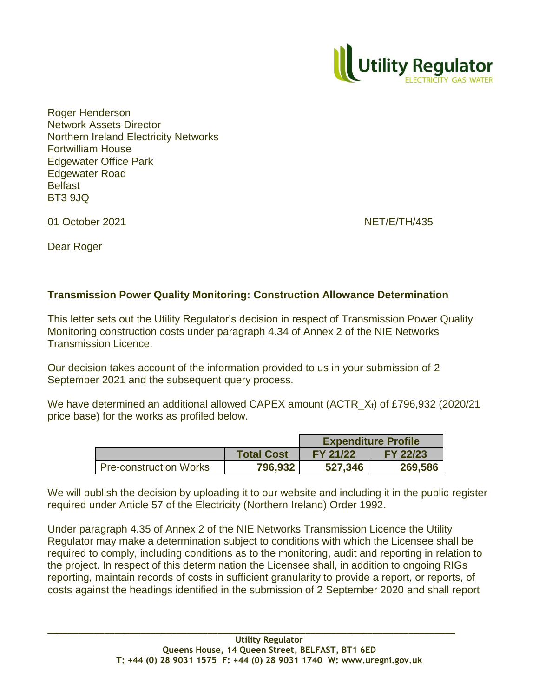

Roger Henderson Network Assets Director Northern Ireland Electricity Networks Fortwilliam House Edgewater Office Park Edgewater Road **Belfast** BT3 9JQ

01 October 2021 NET/E/TH/435

Dear Roger

## **Transmission Power Quality Monitoring: Construction Allowance Determination**

This letter sets out the Utility Regulator's decision in respect of Transmission Power Quality Monitoring construction costs under paragraph 4.34 of Annex 2 of the NIE Networks Transmission Licence.

Our decision takes account of the information provided to us in your submission of 2 September 2021 and the subsequent query process.

We have determined an additional allowed CAPEX amount  $(ACTR<sub>x1</sub>)$  of £796,932 (2020/21 price base) for the works as profiled below.

|                               |                   | <b>Expenditure Profile</b> |                 |
|-------------------------------|-------------------|----------------------------|-----------------|
|                               | <b>Total Cost</b> | <b>FY 21/22</b>            | <b>FY 22/23</b> |
| <b>Pre-construction Works</b> | 796,932           | 527,346                    | 269,586         |

We will publish the decision by uploading it to our website and including it in the public register required under Article 57 of the Electricity (Northern Ireland) Order 1992.

Under paragraph 4.35 of Annex 2 of the NIE Networks Transmission Licence the Utility Regulator may make a determination subject to conditions with which the Licensee shall be required to comply, including conditions as to the monitoring, audit and reporting in relation to the project. In respect of this determination the Licensee shall, in addition to ongoing RIGs reporting, maintain records of costs in sufficient granularity to provide a report, or reports, of costs against the headings identified in the submission of 2 September 2020 and shall report

**\_\_\_\_\_\_\_\_\_\_\_\_\_\_\_\_\_\_\_\_\_\_\_\_\_\_\_\_\_\_\_\_\_\_\_\_\_\_\_\_\_\_\_\_\_\_\_\_\_\_\_\_\_\_\_\_\_\_\_\_\_\_\_\_\_\_\_\_\_\_\_\_\_\_\_\_\_\_\_**